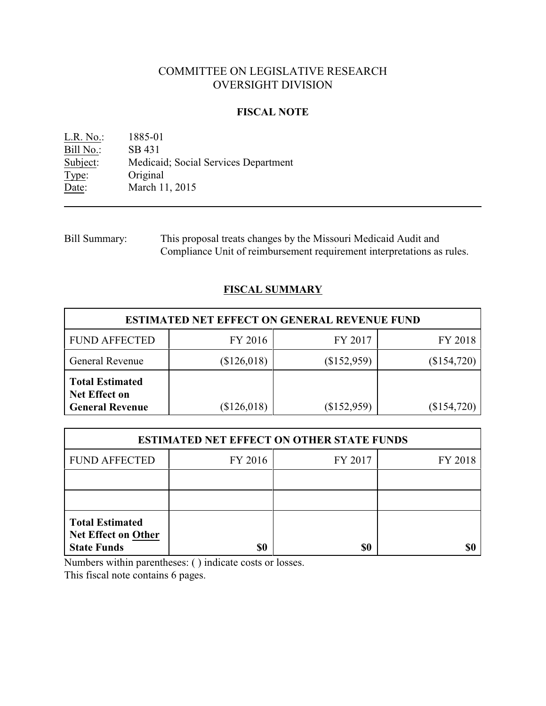# COMMITTEE ON LEGISLATIVE RESEARCH OVERSIGHT DIVISION

## **FISCAL NOTE**

L.R. No.: 1885-01 Bill No.: SB 431<br>Subject: Medicai Medicaid; Social Services Department Type: Original<br>Date: March 11 March 11, 2015

Bill Summary: This proposal treats changes by the Missouri Medicaid Audit and Compliance Unit of reimbursement requirement interpretations as rules.

# **FISCAL SUMMARY**

| <b>ESTIMATED NET EFFECT ON GENERAL REVENUE FUND</b>                      |               |             |               |  |
|--------------------------------------------------------------------------|---------------|-------------|---------------|--|
| <b>FUND AFFECTED</b>                                                     | FY 2016       | FY 2017     | FY 2018       |  |
| General Revenue                                                          | \$126,018     | (\$152,959) | $(\$154,720)$ |  |
| <b>Total Estimated</b><br><b>Net Effect on</b><br><b>General Revenue</b> | $(\$126,018)$ | (\$152,959) | (\$154,720)   |  |

| <b>ESTIMATED NET EFFECT ON OTHER STATE FUNDS</b>                           |         |         |         |  |
|----------------------------------------------------------------------------|---------|---------|---------|--|
| <b>FUND AFFECTED</b>                                                       | FY 2016 | FY 2017 | FY 2018 |  |
|                                                                            |         |         |         |  |
|                                                                            |         |         |         |  |
| <b>Total Estimated</b><br><b>Net Effect on Other</b><br><b>State Funds</b> |         | \$0     |         |  |

Numbers within parentheses: ( ) indicate costs or losses.

This fiscal note contains 6 pages.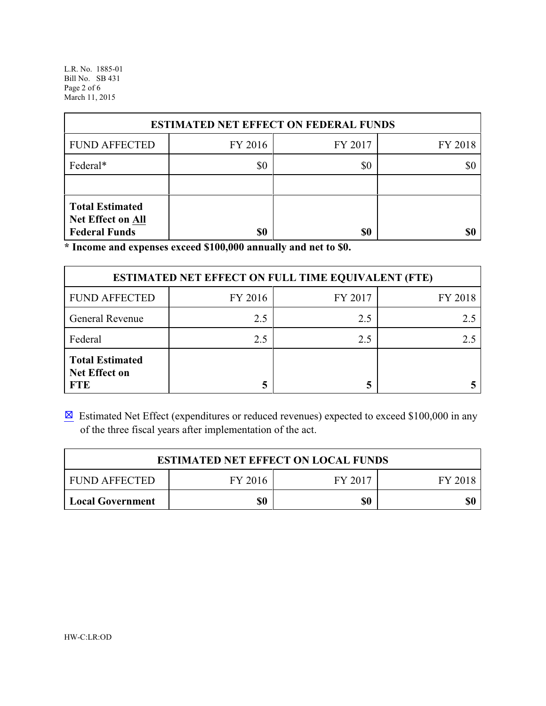L.R. No. 1885-01 Bill No. SB 431 Page 2 of 6 March 11, 2015

| <b>ESTIMATED NET EFFECT ON FEDERAL FUNDS</b>                               |         |         |         |  |  |
|----------------------------------------------------------------------------|---------|---------|---------|--|--|
| <b>FUND AFFECTED</b>                                                       | FY 2016 | FY 2017 | FY 2018 |  |  |
| Federal*                                                                   | \$0     | \$0     |         |  |  |
|                                                                            |         |         |         |  |  |
| <b>Total Estimated</b><br><b>Net Effect on All</b><br><b>Federal Funds</b> | \$0     | \$0     |         |  |  |

**\* Income and expenses exceed \$100,000 annually and net to \$0.**

| <b>ESTIMATED NET EFFECT ON FULL TIME EQUIVALENT (FTE)</b>    |         |         |         |  |
|--------------------------------------------------------------|---------|---------|---------|--|
| <b>FUND AFFECTED</b>                                         | FY 2016 | FY 2017 | FY 2018 |  |
| <b>General Revenue</b>                                       | 2.5     | 2.5     | 2.5     |  |
| Federal                                                      | 2.5     | 2.5     |         |  |
| <b>Total Estimated</b><br><b>Net Effect on</b><br><b>FTE</b> |         |         |         |  |

 $\boxtimes$  Estimated Net Effect (expenditures or reduced revenues) expected to exceed \$100,000 in any of the three fiscal years after implementation of the act.

| <b>ESTIMATED NET EFFECT ON LOCAL FUNDS</b> |         |         |         |  |
|--------------------------------------------|---------|---------|---------|--|
| <b>FUND AFFECTED</b>                       | FY 2016 | FY 2017 | FY 2018 |  |
| Local Government                           | \$0     | \$0     | \$0     |  |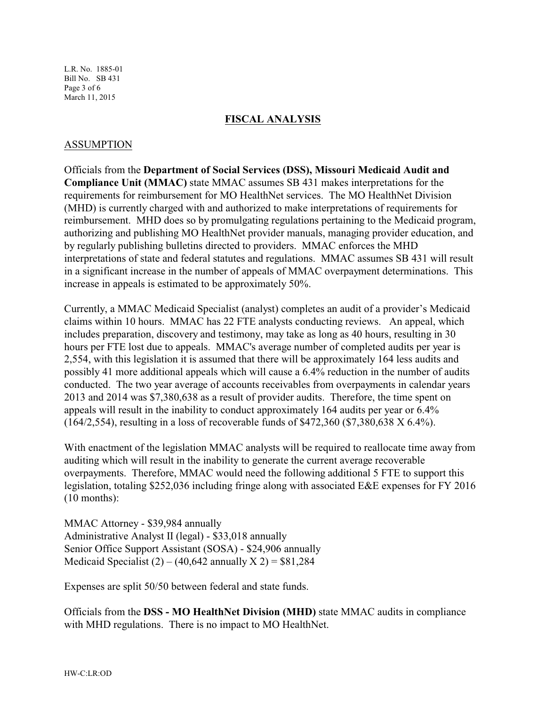L.R. No. 1885-01 Bill No. SB 431 Page 3 of 6 March 11, 2015

### **FISCAL ANALYSIS**

## ASSUMPTION

Officials from the **Department of Social Services (DSS), Missouri Medicaid Audit and Compliance Unit (MMAC)** state MMAC assumes SB 431 makes interpretations for the requirements for reimbursement for MO HealthNet services. The MO HealthNet Division (MHD) is currently charged with and authorized to make interpretations of requirements for reimbursement. MHD does so by promulgating regulations pertaining to the Medicaid program, authorizing and publishing MO HealthNet provider manuals, managing provider education, and by regularly publishing bulletins directed to providers. MMAC enforces the MHD interpretations of state and federal statutes and regulations. MMAC assumes SB 431 will result in a significant increase in the number of appeals of MMAC overpayment determinations. This increase in appeals is estimated to be approximately 50%.

Currently, a MMAC Medicaid Specialist (analyst) completes an audit of a provider's Medicaid claims within 10 hours. MMAC has 22 FTE analysts conducting reviews. An appeal, which includes preparation, discovery and testimony, may take as long as 40 hours, resulting in 30 hours per FTE lost due to appeals. MMAC's average number of completed audits per year is 2,554, with this legislation it is assumed that there will be approximately 164 less audits and possibly 41 more additional appeals which will cause a 6.4% reduction in the number of audits conducted. The two year average of accounts receivables from overpayments in calendar years 2013 and 2014 was \$7,380,638 as a result of provider audits. Therefore, the time spent on appeals will result in the inability to conduct approximately 164 audits per year or 6.4% (164/2,554), resulting in a loss of recoverable funds of \$472,360 (\$7,380,638 X 6.4%).

With enactment of the legislation MMAC analysts will be required to reallocate time away from auditing which will result in the inability to generate the current average recoverable overpayments. Therefore, MMAC would need the following additional 5 FTE to support this legislation, totaling \$252,036 including fringe along with associated E&E expenses for FY 2016 (10 months):

MMAC Attorney - \$39,984 annually Administrative Analyst II (legal) - \$33,018 annually Senior Office Support Assistant (SOSA) - \$24,906 annually Medicaid Specialist  $(2) - (40,642 \text{ annually X } 2) = $81,284$ 

Expenses are split 50/50 between federal and state funds.

Officials from the **DSS - MO HealthNet Division (MHD)** state MMAC audits in compliance with MHD regulations. There is no impact to MO HealthNet.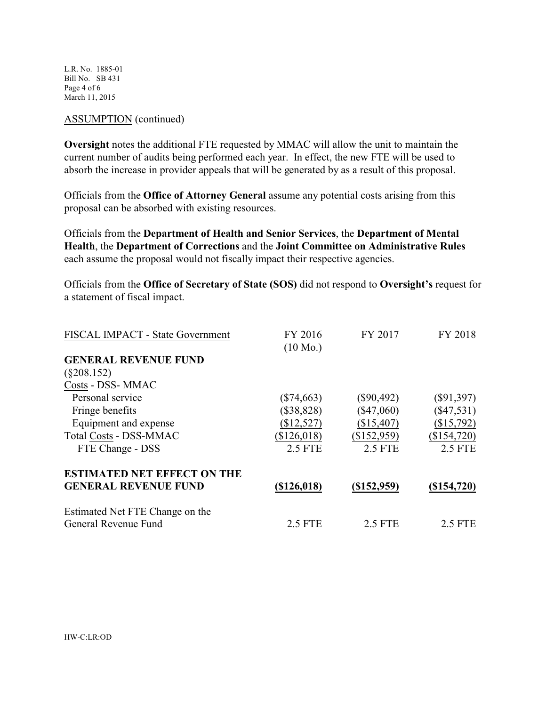L.R. No. 1885-01 Bill No. SB 431 Page 4 of 6 March 11, 2015

### ASSUMPTION (continued)

**Oversight** notes the additional FTE requested by MMAC will allow the unit to maintain the current number of audits being performed each year. In effect, the new FTE will be used to absorb the increase in provider appeals that will be generated by as a result of this proposal.

Officials from the **Office of Attorney General** assume any potential costs arising from this proposal can be absorbed with existing resources.

Officials from the **Department of Health and Senior Services**, the **Department of Mental Health**, the **Department of Corrections** and the **Joint Committee on Administrative Rules** each assume the proposal would not fiscally impact their respective agencies.

Officials from the **Office of Secretary of State (SOS)** did not respond to **Oversight's** request for a statement of fiscal impact.

| FISCAL IMPACT - State Government   | FY 2016            | FY 2017            | FY 2018      |
|------------------------------------|--------------------|--------------------|--------------|
|                                    | $(10 \text{ Mo.})$ |                    |              |
| <b>GENERAL REVENUE FUND</b>        |                    |                    |              |
| $(\$208.152)$                      |                    |                    |              |
| Costs - DSS- MMAC                  |                    |                    |              |
| Personal service                   | $(\$74,663)$       | $(\$90,492)$       | $(\$91,397)$ |
| Fringe benefits                    | (\$38,828)         | $(\$47,060)$       | $(\$47,531)$ |
| Equipment and expense              | (\$12,527)         | (\$15,407)         | (\$15,792)   |
| Total Costs - DSS-MMAC             | (\$126,018)        | (\$152,959)        | (\$154,720)  |
| FTE Change - DSS                   | 2.5 FTE            | 2.5 FTE            | 2.5 FTE      |
| <b>ESTIMATED NET EFFECT ON THE</b> |                    |                    |              |
| <b>GENERAL REVENUE FUND</b>        | <u>(\$126,018)</u> | <u>(\$152,959)</u> | (S154, 720)  |
| Estimated Net FTE Change on the    |                    |                    |              |
| General Revenue Fund               | 2.5 FTE            | 2.5 FTE            | 2.5 FTE      |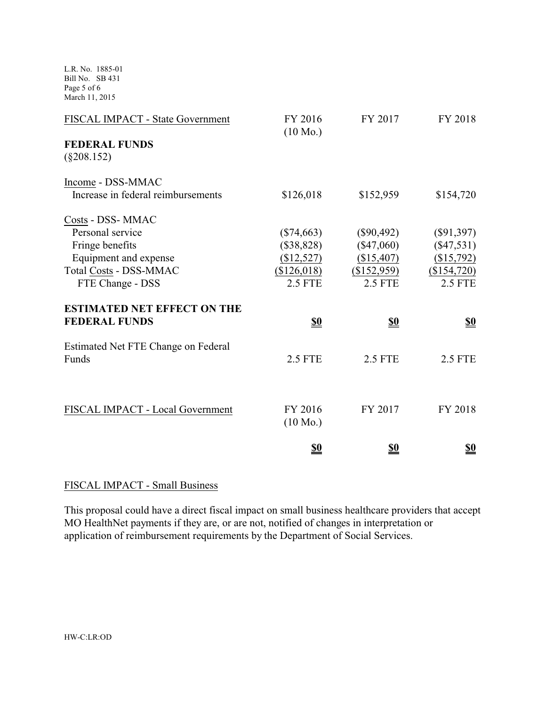L.R. No. 1885-01 Bill No. SB 431 Page 5 of 6 March 11, 2015

| FISCAL IMPACT - State Government      | FY 2016<br>$(10 \text{ Mo.})$ | FY 2017        | FY 2018        |
|---------------------------------------|-------------------------------|----------------|----------------|
| <b>FEDERAL FUNDS</b><br>$(\$208.152)$ |                               |                |                |
| Income - DSS-MMAC                     |                               |                |                |
| Increase in federal reimbursements    | \$126,018                     | \$152,959      | \$154,720      |
| Costs - DSS- MMAC                     |                               |                |                |
| Personal service                      | $(\$74,663)$                  | $(\$90,492)$   | $(\$91,397)$   |
| Fringe benefits                       | (\$38,828)                    | $(\$47,060)$   | $(\$47,531)$   |
| Equipment and expense                 | (\$12,527)                    | (\$15,407)     | (\$15,792)     |
| Total Costs - DSS-MMAC                | (\$126,018)                   | (\$152,959)    | (\$154,720)    |
| FTE Change - DSS                      | <b>2.5 FTE</b>                | <b>2.5 FTE</b> | <b>2.5 FTE</b> |
| <b>ESTIMATED NET EFFECT ON THE</b>    |                               |                |                |
| <b>FEDERAL FUNDS</b>                  | <u>\$0</u>                    | <u>\$0</u>     | <u>\$0</u>     |
| Estimated Net FTE Change on Federal   |                               |                |                |
| Funds                                 | <b>2.5 FTE</b>                | <b>2.5 FTE</b> | <b>2.5 FTE</b> |
|                                       |                               |                |                |
| FISCAL IMPACT - Local Government      | FY 2016                       | FY 2017        | FY 2018        |
|                                       | $(10 \text{ Mo.})$            |                |                |
|                                       | \$0                           | \$0            | \$0            |

# FISCAL IMPACT - Small Business

This proposal could have a direct fiscal impact on small business healthcare providers that accept MO HealthNet payments if they are, or are not, notified of changes in interpretation or application of reimbursement requirements by the Department of Social Services.